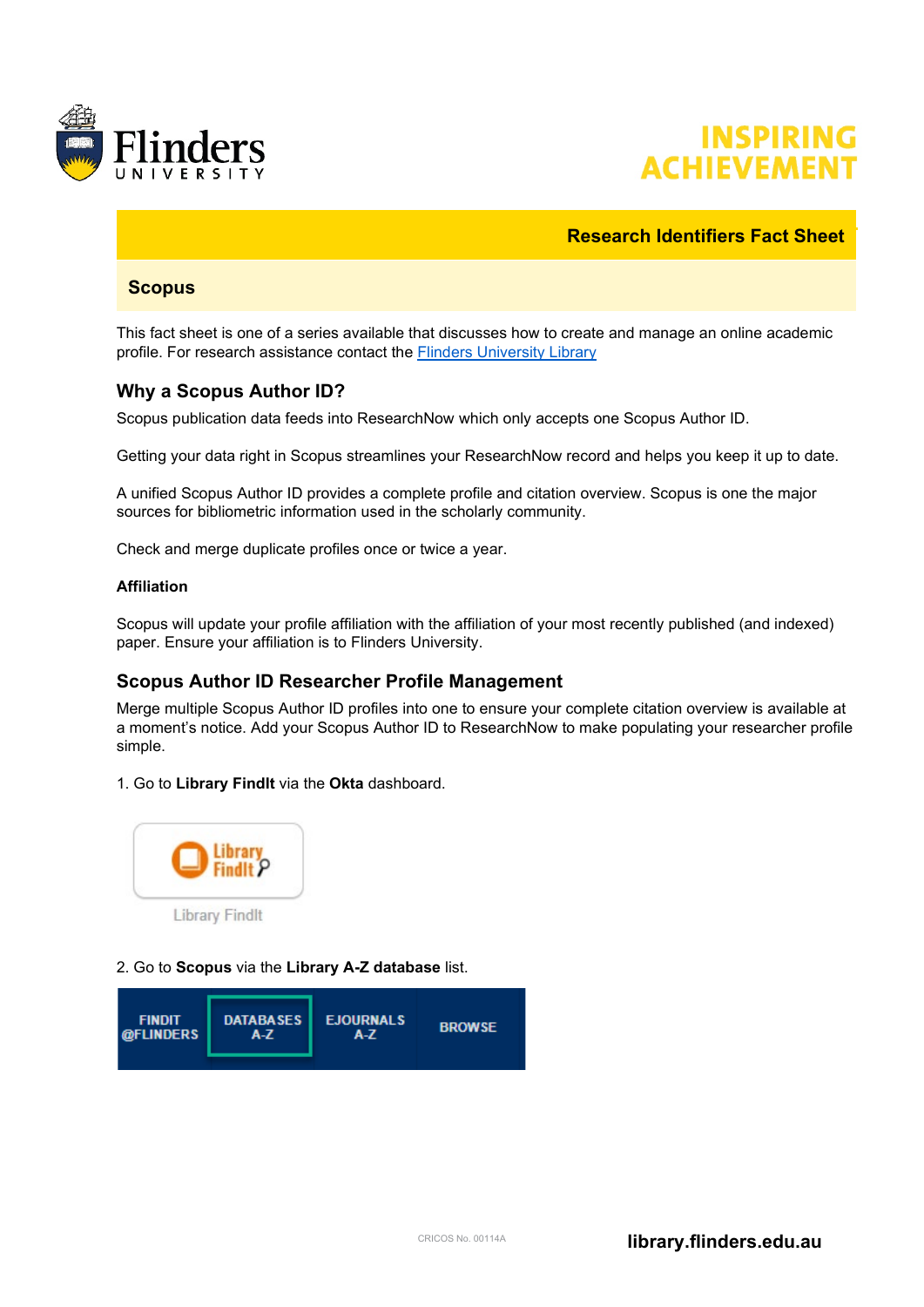



# **Research Identifiers Fact Sheet**

### **Scopus**

This fact sheet is one of a series available that discusses how to create and manage an online academic profile. For research assistance contact the [Flinders University Library](https://library.flinders.edu.au/researchers)

# **Why a Scopus Author ID?**

Scopus publication data feeds into ResearchNow which only accepts one Scopus Author ID.

Getting your data right in Scopus streamlines your ResearchNow record and helps you keep it up to date.

A unified Scopus Author ID provides a complete profile and citation overview. Scopus is one the major sources for bibliometric information used in the scholarly community.

Check and merge duplicate profiles once or twice a year.

#### **Affiliation**

Scopus will update your profile affiliation with the affiliation of your most recently published (and indexed) paper. Ensure your affiliation is to Flinders University.

#### **Scopus Author ID Researcher Profile Management**

Merge multiple Scopus Author ID profiles into one to ensure your complete citation overview is available at a moment's notice. Add your Scopus Author ID to ResearchNow to make populating your researcher profile simple.

1. Go to **Library FindIt** via the **Okta** dashboard.



#### 2. Go to **Scopus** via the **Library A-Z database** list.

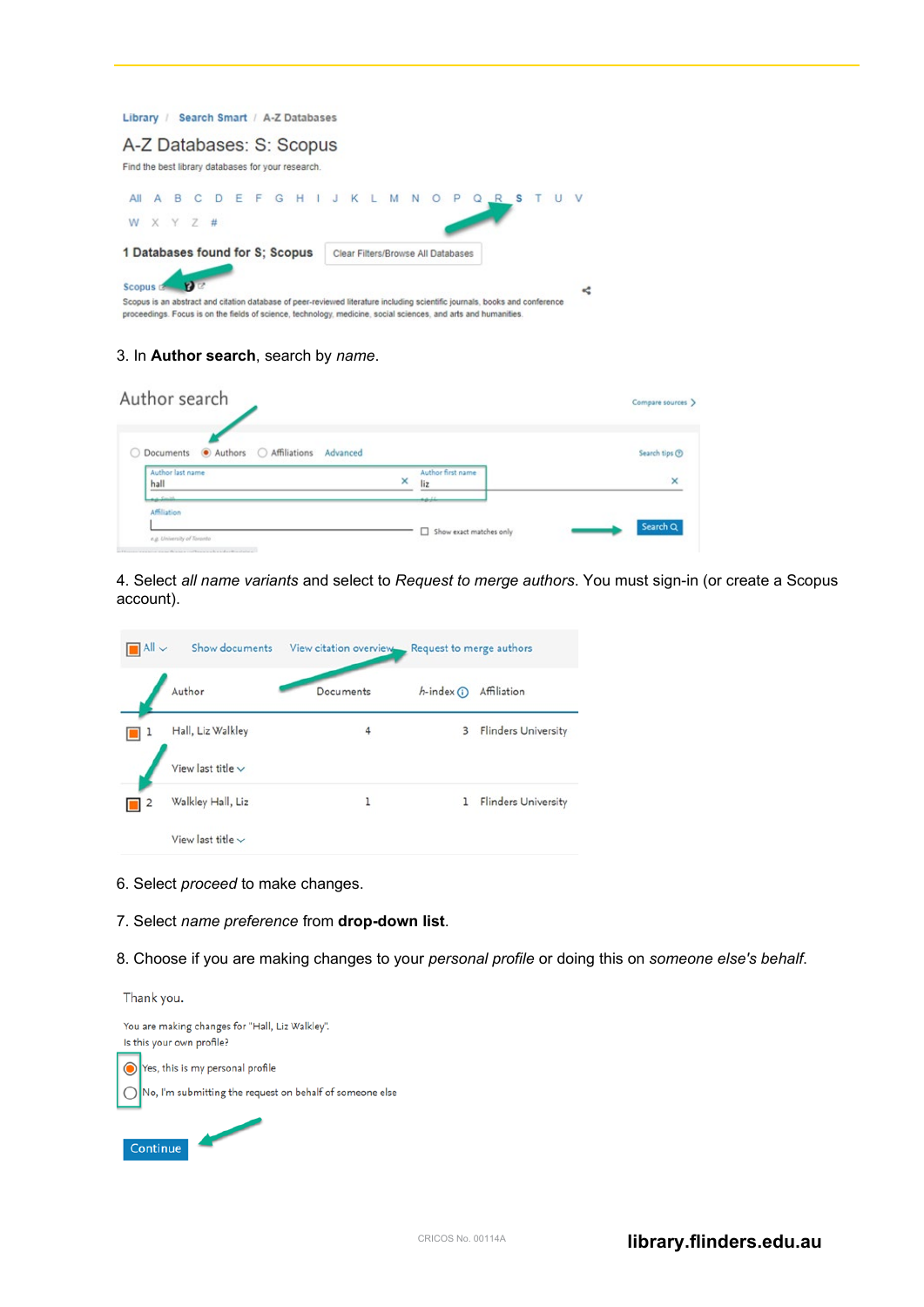

#### 3. In **Author search**, search by *name*.

| Author search                       |          |                              | Compare sources > |
|-------------------------------------|----------|------------------------------|-------------------|
| Documents Authors Affiliations<br>○ | Advanced |                              | Search tips ®     |
| Author last name<br>hall            | ×        | Author first name<br>liz     | $\times$          |
| Art Smith<br>Affiliation            |          | للمع                         |                   |
| e.g. University of Toronto          |          | Show exact matches only<br>α | Search Q          |

4. Select *all name variants* and select to *Request to merge authors*. You must sign-in (or create a Scopus account).

| $\n     \sim$ | Show documents         | View citation overview | Request to merge authors |                            |
|---------------|------------------------|------------------------|--------------------------|----------------------------|
|               | Author                 | Documents              | $h$ -index $(h)$         | Affiliation                |
|               | Hall, Liz Walkley      | 4                      | 3                        | <b>Flinders University</b> |
|               | View last title $\vee$ |                        |                          |                            |
| ۷             | Walkley Hall, Liz      |                        | 1                        | <b>Flinders University</b> |
|               | View last title $\vee$ |                        |                          |                            |

- 6. Select *proceed* to make changes.
- 7. Select *name preference* from **drop-down list**.
- 8. Choose if you are making changes to your *personal profile* or doing this on *someone else's behalf*.

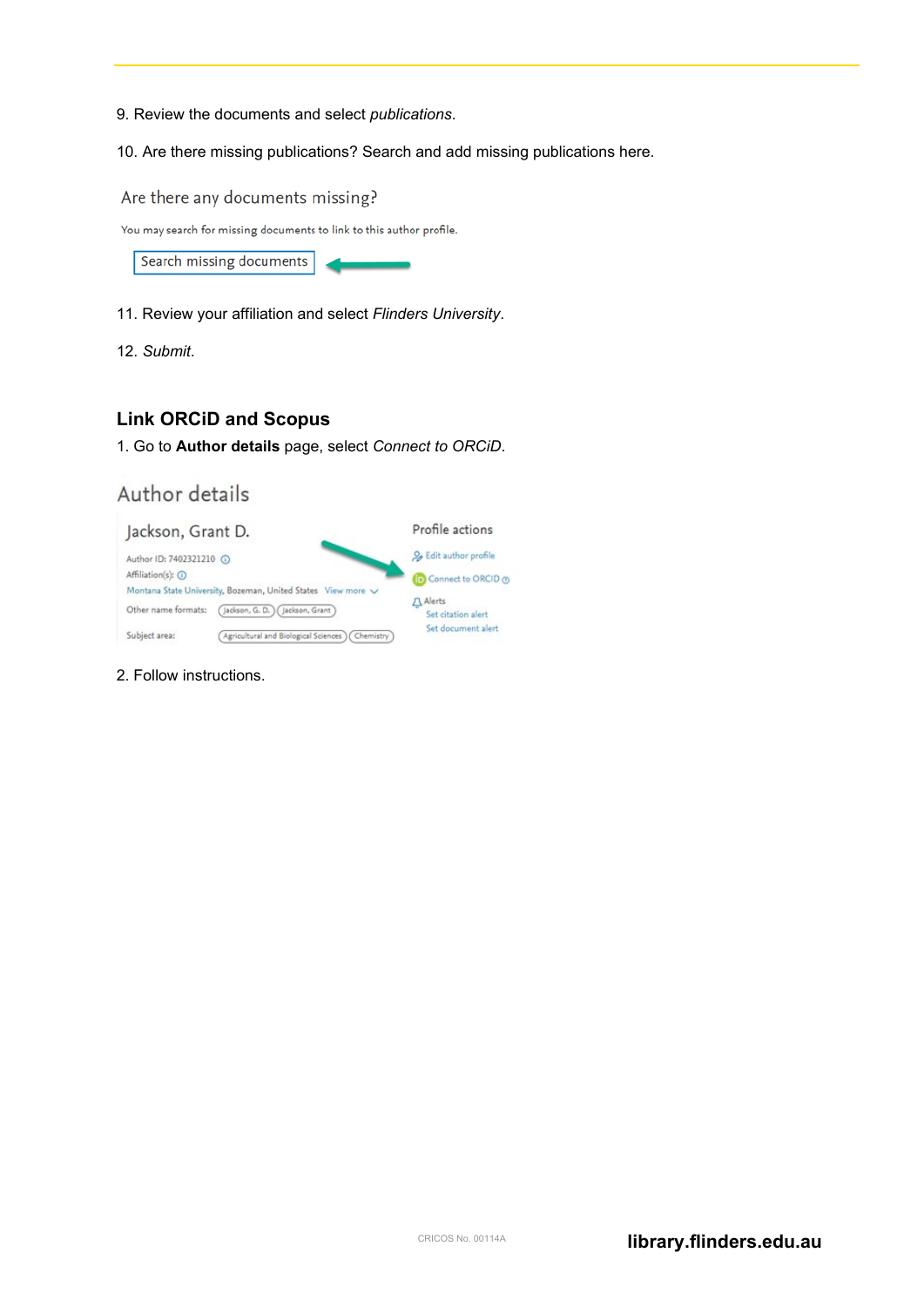- 9. Review the documents and select *publications*.
- 10. Are there missing publications? Search and add missing publications here.

Are there any documents missing?

You may search for missing documents to link to this author profile.



- 11. Review your affiliation and select *Flinders University*.
- 12. *Submit*.

# **Link ORCiD and Scopus**

1. Go to **Author details** page, select *Connect to ORCiD*.

# Author details

| Jackson, Grant D.                                            | Profile actions                 |
|--------------------------------------------------------------|---------------------------------|
| Author ID: 7402321210 (                                      | O. Edit author profile          |
| Affiliation(s): (i)                                          | Connect to ORCID ®              |
| Montana State University, Bozeman, United States View more V | Alerts                          |
| Jackson, G. D. ) (Jackson, Grant)<br>Other name formats:     | Set citation alert              |
| Subject area:<br>Agricultural and Biological Sciences        | Set document alert<br>Chemistry |

2. Follow instructions.